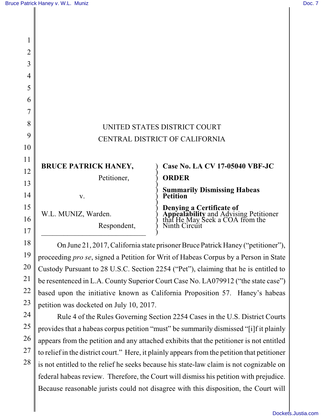| 3 |                                |                                                                                                                                 |
|---|--------------------------------|---------------------------------------------------------------------------------------------------------------------------------|
| 4 |                                |                                                                                                                                 |
|   |                                |                                                                                                                                 |
| 5 |                                |                                                                                                                                 |
|   |                                |                                                                                                                                 |
| 3 | UNITED STATES DISTRICT COURT   |                                                                                                                                 |
|   |                                |                                                                                                                                 |
|   | CENTRAL DISTRICT OF CALIFORNIA |                                                                                                                                 |
|   |                                |                                                                                                                                 |
|   | <b>BRUCE PATRICK HANEY,</b>    | Case No. LA CV 17-05040 VBF-JC                                                                                                  |
|   | Petitioner,                    | <b>ORDER</b>                                                                                                                    |
| 4 | V.                             | <b>Summarily Dismissing Habeas<br/>Petition</b>                                                                                 |
| 5 |                                | <b>Denying a Certificate of<br/>Appealability and Advising Petitioner<br/>that He May Seek a COA from the<br/>Ninth Circuit</b> |
| 5 | W.L. MUNIZ, Warden.            |                                                                                                                                 |
|   | Respondent,                    |                                                                                                                                 |
|   |                                |                                                                                                                                 |

On June 21, 2017, California state prisoner Bruce Patrick Haney ("petitioner"), proceeding *pro se*, signed a Petition for Writ of Habeas Corpus by a Person in State Custody Pursuant to 28 U.S.C. Section 2254 ("Pet"), claiming that he is entitled to be resentenced in L.A. County Superior Court Case No. LA079912 ("the state case") based upon the initiative known as California Proposition 57. Haney's habeas petition was docketed on July 10, 2017.

Rule 4 of the Rules Governing Section 2254 Cases in the U.S. District Courts provides that a habeas corpus petition "must" be summarily dismissed "[i]f it plainly appears from the petition and any attached exhibits that the petitioner is not entitled to relief in the district court." Here, it plainly appears from the petition that petitioner is not entitled to the relief he seeks because his state-law claim is not cognizable on federal habeas review. Therefore, the Court will dismiss his petition with prejudice. Because reasonable jurists could not disagree with this disposition, the Court will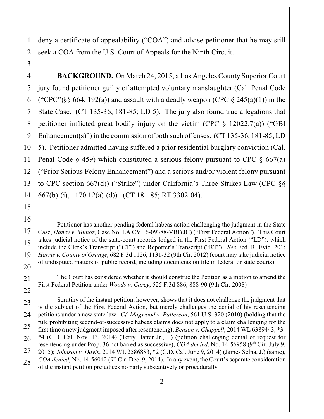deny a certificate of appealability ("COA") and advise petitioner that he may still seek a COA from the U.S. Court of Appeals for the Ninth Circuit.<sup>1</sup>

4 5 6 7 8 9 10 11 12 13 14 **BACKGROUND.** On March 24, 2015, a Los Angeles County Superior Court jury found petitioner guilty of attempted voluntary manslaughter (Cal. Penal Code ("CPC")§§ 664, 192(a)) and assault with a deadly weapon (CPC § 245(a)(1)) in the State Case. (CT 135-36, 181-85; LD 5). The jury also found true allegations that petitioner inflicted great bodily injury on the victim (CPC  $\S$  12022.7(a)) ("GBI Enhancement(s)") in the commission of both such offenses. (CT 135-36, 181-85; LD 5). Petitioner admitted having suffered a prior residential burglary conviction (Cal. Penal Code  $\S$  459) which constituted a serious felony pursuant to CPC  $\S$  667(a) ("Prior Serious Felony Enhancement") and a serious and/or violent felony pursuant to CPC section 667(d)) ("Strike") under California's Three Strikes Law (CPC §§ 667(b)-(i), 1170.12(a)-(d)). (CT 181-85; RT 3302-04).

15 16

1

21

22

1

2

3

The Court has considered whether it should construe the Petition as a motion to amend the First Federal Petition under *Woods v. Carey*, 525 F.3d 886, 888-90 (9th Cir. 2008)

23 24 25 26 27 28 Scrutiny of the instant petition, however, shows that it does not challenge the judgment that is the subject of the First Federal Action, but merely challenges the denial of his resentencing petitions under a new state law. *Cf. Magwood v. Patterson*, 561 U.S. 320 (2010) (holding that the rule prohibiting second-or-successive habeas claims does not apply to a claim challenging for the first time a new judgment imposed after resentencing); *Benson v. Chappell*, 2014 WL 6389443, \*3- \*4 (C.D. Cal. Nov. 13, 2014) (Terry Hatter Jr., J.) (petition challenging denial of request for resentencing under Prop. 36 not barred as successive), *COA denied*, No. 14-56958 (9<sup>th</sup> Cir. July 9, 2015); *Johnson v. Davis*, 2014 WL 2586883, \*2 (C.D. Cal. June 9, 2014) (James Selna, J.) (same), *COA denied*, No. 14-56042 (9<sup>th</sup> Cir. Dec. 9, 2014). In any event, the Court's separate consideration of the instant petition prejudices no party substantively or procedurally.

<sup>17</sup> 18 19 20 Petitioner has another pending federal habeas action challenging the judgment in the State Case, *Haney v. Munoz*, Case No. LA CV 16-09388-VBF(JC) ("First Federal Action"). This Court takes judicial notice of the state-court records lodged in the First Federal Action ("LD"), which include the Clerk's Transcript ("CT") and Reporter's Transcript ("RT"). *See* Fed. R. Evid. 201; *Harris v. County of Orange,* 682 F.3d 1126, 1131-32 (9th Cir. 2012) (court may take judicial notice of undisputed matters of public record, including documents on file in federal or state courts).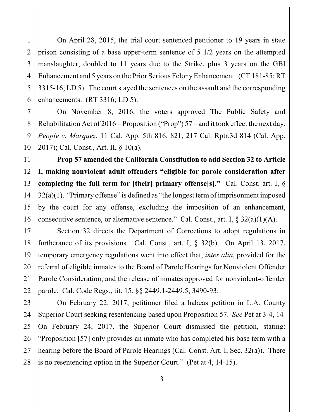1 2 3 4 5 6 On April 28, 2015, the trial court sentenced petitioner to 19 years in state prison consisting of a base upper-term sentence of 5 1/2 years on the attempted manslaughter, doubled to 11 years due to the Strike, plus 3 years on the GBI Enhancement and 5 years on the Prior Serious Felony Enhancement. (CT 181-85; RT 3315-16; LD 5). The court stayed the sentences on the assault and the corresponding enhancements. (RT 3316; LD 5).

7 8 9 10 On November 8, 2016, the voters approved The Public Safety and Rehabilitation Act of 2016 – Proposition ("Prop") 57 – and it took effect the next day. *People v. Marquez*, 11 Cal. App. 5th 816, 821, 217 Cal. Rptr.3d 814 (Cal. App. 2017); Cal. Const., Art. II, § 10(a).

11 12 13 14 15 16 **Prop 57 amended the California Constitution to add Section 32 to Article I, making nonviolent adult offenders "eligible for parole consideration after completing the full term for [their] primary offense[s]."** Cal. Const. art. I,  $\delta$ 32(a)(1). "Primary offense" is defined as "the longest term of imprisonment imposed by the court for any offense, excluding the imposition of an enhancement, consecutive sentence, or alternative sentence." Cal. Const., art. I,  $\S 32(a)(1)(A)$ .

17 18 19 20 21 22 Section 32 directs the Department of Corrections to adopt regulations in furtherance of its provisions. Cal. Const., art. I, § 32(b). On April 13, 2017, temporary emergency regulations went into effect that, *inter alia*, provided for the referral of eligible inmates to the Board of Parole Hearings for Nonviolent Offender Parole Consideration, and the release of inmates approved for nonviolent-offender parole. Cal. Code Regs., tit. 15, §§ 2449.1-2449.5, 3490-93.

23 24 25 26 27 28 On February 22, 2017, petitioner filed a habeas petition in L.A. County Superior Court seeking resentencing based upon Proposition 57. *See* Pet at 3-4, 14*.* On February 24, 2017, the Superior Court dismissed the petition, stating: "Proposition [57] only provides an inmate who has completed his base term with a hearing before the Board of Parole Hearings (Cal. Const. Art. I, Sec. 32(a)). There is no resentencing option in the Superior Court." (Pet at 4, 14-15).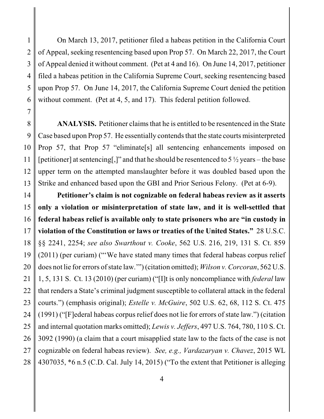1 2 3 4 5 6 On March 13, 2017, petitioner filed a habeas petition in the California Court of Appeal, seeking resentencing based upon Prop 57. On March 22, 2017, the Court of Appeal denied it without comment. (Pet at 4 and 16). On June 14, 2017, petitioner filed a habeas petition in the California Supreme Court, seeking resentencing based upon Prop 57. On June 14, 2017, the California Supreme Court denied the petition without comment. (Pet at 4, 5, and 17). This federal petition followed.

8 9 10 11 12 13 **ANALYSIS.** Petitioner claims that he is entitled to be resentenced in the State Case based upon Prop 57. He essentially contends that the state courts misinterpreted Prop 57, that Prop 57 "eliminate[s] all sentencing enhancements imposed on [petitioner] at sentencing[,]" and that he should be resentenced to  $5\frac{1}{2}$  years – the base upper term on the attempted manslaughter before it was doubled based upon the Strike and enhanced based upon the GBI and Prior Serious Felony. (Pet at 6-9).

7

14 15 16 17 18 19 20 21 22 23 24 25 26 27 28 **Petitioner's claim is not cognizable on federal habeas review as it asserts only a violation or misinterpretation of state law, and it is well-settled that federal habeas relief is available only to state prisoners who are "in custody in violation of the Constitution or laws or treaties of the United States."** 28 U.S.C. §§ 2241, 2254; *see also Swarthout v. Cooke*, 562 U.S. 216, 219, 131 S. Ct. 859 (2011) (per curiam) ("'We have stated many times that federal habeas corpus relief does not lie for errors of state law.'") (citation omitted); *Wilson v. Corcoran*, 562 U.S. 1, 5, 131 S. Ct. 13 (2010) (per curiam) ("[I]t is only noncompliance with *federal* law that renders a State's criminal judgment susceptible to collateral attack in the federal courts.") (emphasis original); *Estelle v. McGuire*, 502 U.S. 62, 68, 112 S. Ct. 475 (1991) ("[F]ederal habeas corpus relief does not lie for errors of state law.") (citation and internal quotation marks omitted); *Lewis v. Jeffers*, 497 U.S. 764, 780, 110 S. Ct. 3092 (1990) (a claim that a court misapplied state law to the facts of the case is not cognizable on federal habeas review). *See, e.g., Vardazaryan v. Chavez*, 2015 WL 4307035, \*6 n.5 (C.D. Cal. July 14, 2015) ("To the extent that Petitioner is alleging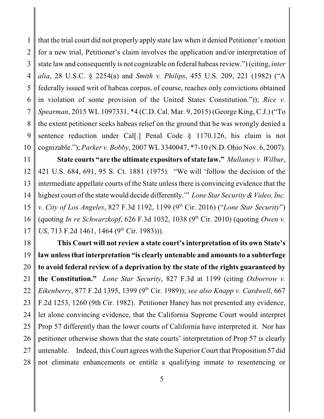1 2 3 4 5 6 7 8 9 10 that the trial court did not properly apply state law when it denied Petitioner's motion for a new trial, Petitioner's claim involves the application and/or interpretation of state law and consequently is not cognizable on federal habeas review.") (citing, *inter alia*, 28 U.S.C. § 2254(a) and *Smith v. Philips*, 455 U.S. 209, 221 (1982) ("A federally issued writ of habeas corpus, of course, reaches only convictions obtained in violation of some provision of the United States Constitution.")); *Rice v. Spearman*, 2015 WL 1097331, \*4 (C.D. Cal. Mar. 9, 2015) (George King, C.J.) ("To the extent petitioner seeks habeas relief on the ground that he was wrongly denied a sentence reduction under Cal[.] Penal Code § 1170.126, his claim is not cognizable."); *Parker v. Bobby*, 2007 WL 3340047, \*7-10 (N.D. Ohio Nov. 6, 2007).

11 12 13 14 15 16 17 **State courts "are the ultimate expositors of state law."** *Mullaney v. Wilbur*, 421 U.S. 684, 691, 95 S. Ct. 1881 (1975). "We will 'follow the decision of the intermediate appellate courts of the State unless there is convincing evidence that the highest court of the state would decide differently.'" *Lone Star Security & Video, Inc. v. City of Los Angeles, 827 F.3d 1192, 1199 (9<sup>th</sup> Cir. 2016) ("<i>Lone Star Security*") (quoting *In re Schwarzkopf*, 626 F.3d 1032, 1038 (9th Cir. 2010) (quoting *Owen v. US*, 713 F.2d 1461, 1464 (9<sup>th</sup> Cir. 1983)).

18 19 20 21 22 23 24 25 26 27 28 **This Court will not review a state court's interpretation of its own State's law unless that interpretation "is clearly untenable and amounts to a subterfuge to avoid federal review of a deprivation by the state of the rights guaranteed by the Constitution."** *Lone Star Security*, 827 F.3d at 1199 (citing *Oxborrow v. Eikenberry*, 877 F.2d 1395, 1399 (9<sup>th</sup> Cir. 1989)); *see also Knapp v. Cardwell*, 667 F.2d 1253, 1260 (9th Cir. 1982). Petitioner Haney has not presented any evidence, let alone convincing evidence, that the California Supreme Court would interpret Prop 57 differently than the lower courts of California have interpreted it. Nor has petitioner otherwise shown that the state courts' interpretation of Prop 57 is clearly untenable. Indeed, this Court agrees with the Superior Court that Proposition 57 did not eliminate enhancements or entitle a qualifying inmate to resentencing or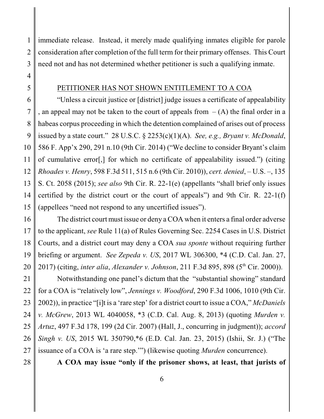1 2 3 immediate release. Instead, it merely made qualifying inmates eligible for parole consideration after completion of the full term for their primary offenses. This Court need not and has not determined whether petitioner is such a qualifying inmate.

## PETITIONER HAS NOT SHOWN ENTITLEMENT TO A COA

9 10 11 12 13 14 15 "Unless a circuit justice or [district] judge issues a certificate of appealability , an appeal may not be taken to the court of appeals from  $-(A)$  the final order in a habeas corpus proceeding in which the detention complained of arises out of process issued by a state court." 28 U.S.C. § 2253(c)(1)(A). *See, e.g., Bryant v. McDonald*, 586 F. App'x 290, 291 n.10 (9th Cir. 2014) ("We decline to consider Bryant's claim of cumulative error[,] for which no certificate of appealability issued.") (citing *Rhoades v. Henry*, 598 F.3d 511, 515 n.6 (9th Cir. 2010)), *cert. denied*, – U.S. –, 135 S. Ct. 2058 (2015); *see also* 9th Cir. R. 22-1(e) (appellants "shall brief only issues certified by the district court or the court of appeals") and 9th Cir. R. 22-1(f) (appellees "need not respond to any uncertified issues").

16 17 18 19 20 The district court must issue or deny a COA when it enters a final order adverse to the applicant, *see* Rule 11(a) of Rules Governing Sec. 2254 Cases in U.S. District Courts, and a district court may deny a COA *sua sponte* without requiring further briefing or argument. *See Zepeda v. US*, 2017 WL 306300, \*4 (C.D. Cal. Jan. 27, 2017) (citing, *inter alia, Alexander v. Johnson*, 211 F.3d 895, 898 (5<sup>th</sup> Cir. 2000)).

21 22 23 24 25 26 27 Notwithstanding one panel's dictum that the "substantial showing" standard for a COA is "relatively low", *Jennings v. Woodford*, 290 F.3d 1006, 1010 (9th Cir. 2002)), in practice "[i]t is a 'rare step' for a district court to issue a COA," *McDaniels v. McGrew*, 2013 WL 4040058, \*3 (C.D. Cal. Aug. 8, 2013) (quoting *Murden v. Artuz*, 497 F.3d 178, 199 (2d Cir. 2007) (Hall, J., concurring in judgment)); *accord Singh v. US*, 2015 WL 350790,\*6 (E.D. Cal. Jan. 23, 2015) (Ishii, Sr. J.) ("The issuance of a COA is 'a rare step.'") (likewise quoting *Murden* concurrence).

28

**A COA may issue "only if the prisoner shows, at least, that jurists of**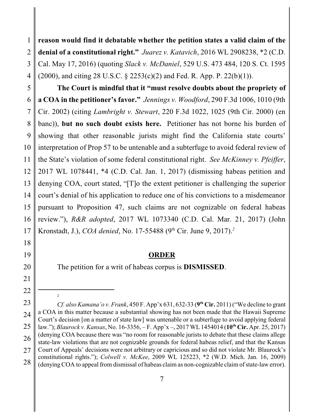1 2 3 4 **reason would find it debatable whether the petition states a valid claim of the denial of a constitutional right."** *Juarez v. Katavich*, 2016 WL 2908238, \*2 (C.D. Cal. May 17, 2016) (quoting *Slack v. McDaniel*, 529 U.S. 473 484, 120 S. Ct. 1595 (2000), and citing 28 U.S.C. § 2253(c)(2) and Fed. R. App. P. 22(b)(1)).

5 6 7 8 9 10 11 12 13 14 15 16 17 **The Court is mindful that it "must resolve doubts about the propriety of a COA in the petitioner's favor."** *Jennings v. Woodford*, 290 F.3d 1006, 1010 (9th Cir. 2002) (citing *Lambright v. Stewart*, 220 F.3d 1022, 1025 (9th Cir. 2000) (en banc)), **but no such doubt exists here.** Petitioner has not borne his burden of showing that other reasonable jurists might find the California state courts' interpretation of Prop 57 to be untenable and a subterfuge to avoid federal review of the State's violation of some federal constitutional right. *See McKinney v. Pfeiffer*, 2017 WL 1078441, \*4 (C.D. Cal. Jan. 1, 2017) (dismissing habeas petition and denying COA, court stated, "[T]o the extent petitioner is challenging the superior court's denial of his application to reduce one of his convictions to a misdemeanor pursuant to Proposition 47, such claims are not cognizable on federal habeas review."), *R&R adopted*, 2017 WL 1073340 (C.D. Cal. Mar. 21, 2017) (John Kronstadt, J.), *COA denied*, No. 17-55488 (9<sup>th</sup> Cir. June 9, 2017).<sup>2</sup>

## **ORDER**

The petition for a writ of habeas corpus is **DISMISSED**.

2

18

19

20

21

<sup>22</sup>

<sup>23</sup> 24 25 26 27 28 *Cf. also Kamana'o v. Frank*, 450 F. App'x 631, 632-33 (**9 th Cir.** 2011) ("We decline to grant a COA in this matter because a substantial showing has not been made that the Hawaii Supreme Court's decision [on a matter of state law] was untenable or a subterfuge to avoid applying federal law."); *Blaurock v. Kansas*, No. 16-3356, – F. App'x –, 2017 WL 1454014 (**10th Cir.** Apr. 25, 2017) (denying COA because there was "no room for reasonable jurists to debate that these claims allege state-law violations that are not cognizable grounds for federal habeas relief, and that the Kansas Court of Appeals' decisions were not arbitrary or capricious and so did not violate Mr. Blaurock's constitutional rights."); *Colwell v. McKee*, 2009 WL 125223, \*2 (W.D. Mich. Jan. 16, 2009) (denying COA to appeal from dismissal of habeas claim as non-cognizable claim of state-law error).